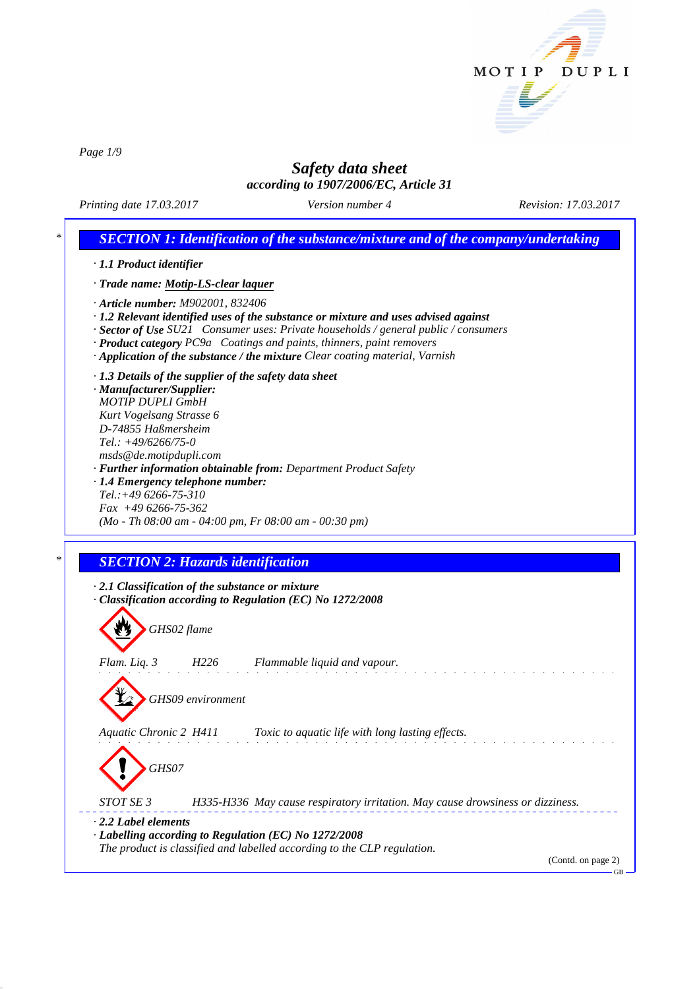

*Page 1/9*

# *Safety data sheet*

*according to 1907/2006/EC, Article 31*

*Printing date 17.03.2017 Version number 4 Revision: 17.03.2017*

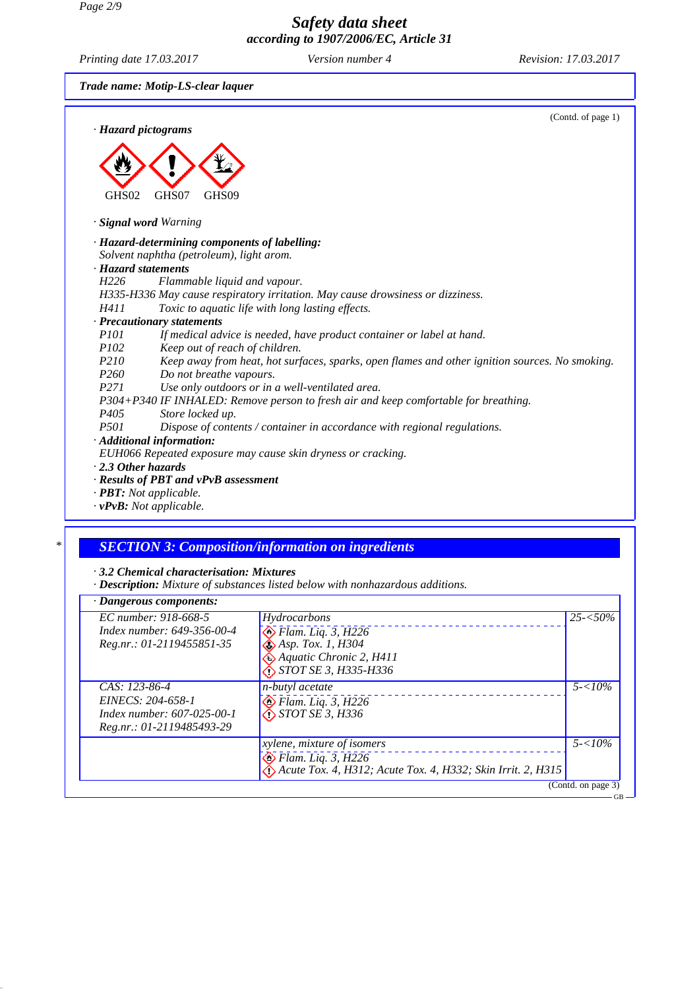*Page 2/9*

## *Safety data sheet according to 1907/2006/EC, Article 31*

*Printing date 17.03.2017 Version number 4 Revision: 17.03.2017*

*Trade name: Motip-LS-clear laquer*



*· vPvB: Not applicable.*

#### *\* SECTION 3: Composition/information on ingredients*

*· 3.2 Chemical characterisation: Mixtures*

*· Description: Mixture of substances listed below with nonhazardous additions.*

| · Dangerous components:                                                                              |                                                                                                                                                         |                          |
|------------------------------------------------------------------------------------------------------|---------------------------------------------------------------------------------------------------------------------------------------------------------|--------------------------|
| EC number: 918-668-5<br>Index number: 649-356-00-4<br>Reg.nr.: 01-2119455851-35                      | Hydrocarbons<br>$\sum$ Flam. Liq. 3, H226<br>$\bigotimes$ Asp. Tox. 1, H304<br>$\triangle$ Aquatic Chronic 2, H411<br>$\bigotimes$ STOT SE 3, H335-H336 | $25 - 50\%$              |
| CAS: 123-86-4<br>EINECS: 204-658-1<br><i>Index number: 607-025-00-1</i><br>Reg.nr.: 01-2119485493-29 | n-butyl acetate<br>$\diamondsuit$ Flam. Liq. 3, H226<br>$\bigotimes$ STOT SE 3, H336                                                                    | $5 - 10\%$               |
|                                                                                                      | <i>xylene, mixture of isomers</i><br>$\bigotimes$ Flam. Liq. 3, H226<br>Acute Tox. 4, H312; Acute Tox. 4, H332; Skin Irrit. 2, H315                     | $5 - 10\%$               |
|                                                                                                      |                                                                                                                                                         | (Contd. on page 3)<br>GВ |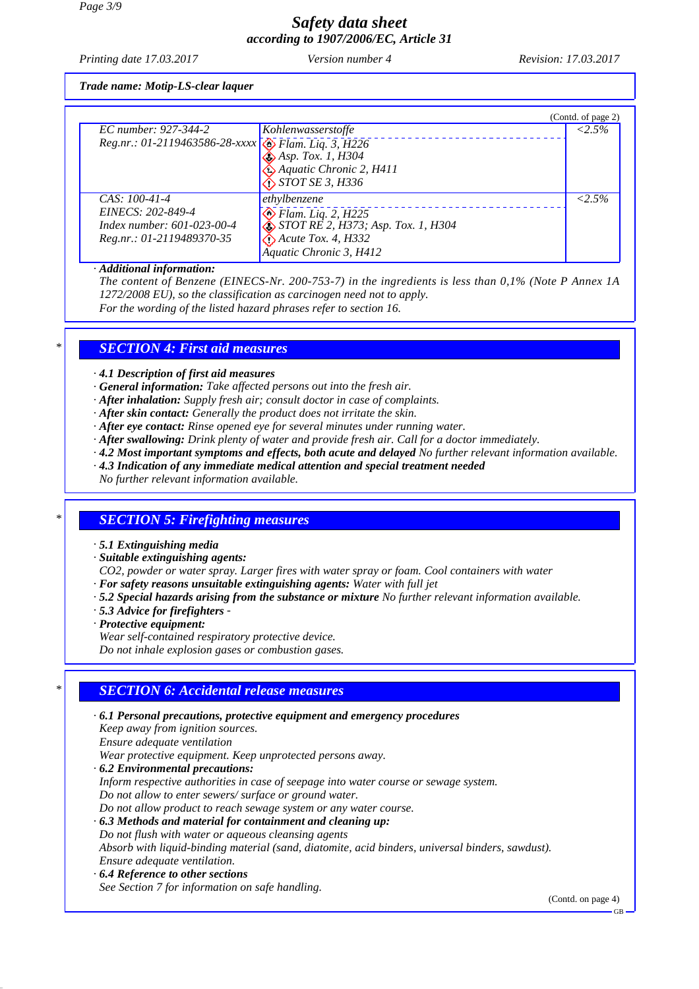# *Safety data sheet according to 1907/2006/EC, Article 31*

*Printing date 17.03.2017 Version number 4 Revision: 17.03.2017*

*Trade name: Motip-LS-clear laquer*

|                                                     |                                    | (Contd. of page 2) |
|-----------------------------------------------------|------------------------------------|--------------------|
| EC number: 927-344-2                                | Kohlenwasserstoffe                 | $< 2.5\%$          |
| Reg.nr.: 01-2119463586-28-xxxx B Flam. Liq. 3, H226 |                                    |                    |
|                                                     | $\bigotimes$ Asp. Tox. 1, H304     |                    |
|                                                     | Aquatic Chronic 2, H411            |                    |
|                                                     | $\bigotimes$ STOT SE 3, H336       |                    |
| $CAS: 100-41-4$                                     | ethylbenzene                       | $< 2.5\%$          |
| EINECS: 202-849-4                                   | $\otimes$ Flam. Liq. 2, H225       |                    |
| Index number: 601-023-00-4                          | STOT RE 2, H373; Asp. Tox. 1, H304 |                    |
| Reg.nr.: 01-2119489370-35                           | $\bigotimes$ Acute Tox. 4, H332    |                    |
|                                                     | Aquatic Chronic 3, H412            |                    |

*· Additional information:*

*The content of Benzene (EINECS-Nr. 200-753-7) in the ingredients is less than 0,1% (Note P Annex 1A 1272/2008 EU), so the classification as carcinogen need not to apply. For the wording of the listed hazard phrases refer to section 16.*

*\* SECTION 4: First aid measures*

*· 4.1 Description of first aid measures*

- *· General information: Take affected persons out into the fresh air.*
- *· After inhalation: Supply fresh air; consult doctor in case of complaints.*
- *· After skin contact: Generally the product does not irritate the skin.*
- *· After eye contact: Rinse opened eye for several minutes under running water.*
- *· After swallowing: Drink plenty of water and provide fresh air. Call for a doctor immediately.*
- *· 4.2 Most important symptoms and effects, both acute and delayed No further relevant information available.*
- *· 4.3 Indication of any immediate medical attention and special treatment needed*
- *No further relevant information available.*

## *\* SECTION 5: Firefighting measures*

- *· 5.1 Extinguishing media*
- *· Suitable extinguishing agents:*
- *CO2, powder or water spray. Larger fires with water spray or foam. Cool containers with water*
- *· For safety reasons unsuitable extinguishing agents: Water with full jet*
- *· 5.2 Special hazards arising from the substance or mixture No further relevant information available.*
- *· 5.3 Advice for firefighters*
- *· Protective equipment:*

*Wear self-contained respiratory protective device. Do not inhale explosion gases or combustion gases.*

## *\* SECTION 6: Accidental release measures*

*· 6.1 Personal precautions, protective equipment and emergency procedures Keep away from ignition sources. Ensure adequate ventilation Wear protective equipment. Keep unprotected persons away. · 6.2 Environmental precautions: Inform respective authorities in case of seepage into water course or sewage system. Do not allow to enter sewers/ surface or ground water. Do not allow product to reach sewage system or any water course. · 6.3 Methods and material for containment and cleaning up: Do not flush with water or aqueous cleansing agents Absorb with liquid-binding material (sand, diatomite, acid binders, universal binders, sawdust). Ensure adequate ventilation. · 6.4 Reference to other sections See Section 7 for information on safe handling.*

(Contd. on page 4)

GB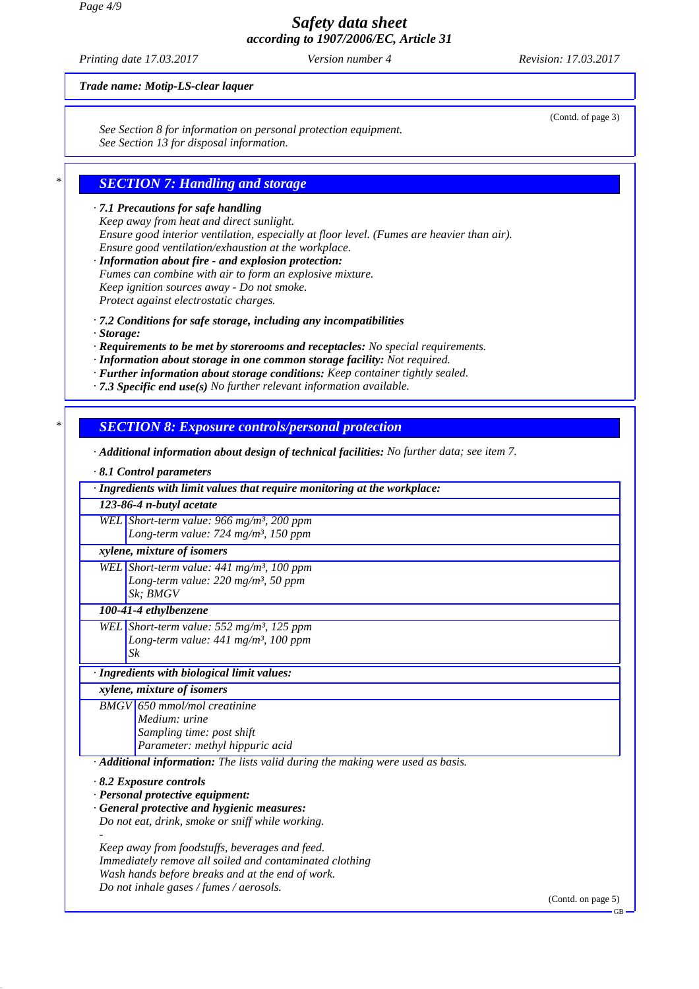*Page 4/9*

*Safety data sheet according to 1907/2006/EC, Article 31*

*Printing date 17.03.2017 Version number 4 Revision: 17.03.2017*

(Contd. of page 3)

*Trade name: Motip-LS-clear laquer*

*See Section 8 for information on personal protection equipment. See Section 13 for disposal information.*

## *\* SECTION 7: Handling and storage*

#### *· 7.1 Precautions for safe handling Keep away from heat and direct sunlight. Ensure good interior ventilation, especially at floor level. (Fumes are heavier than air). Ensure good ventilation/exhaustion at the workplace.*

*· Information about fire - and explosion protection: Fumes can combine with air to form an explosive mixture. Keep ignition sources away - Do not smoke. Protect against electrostatic charges.*

*· 7.2 Conditions for safe storage, including any incompatibilities*

*· Storage:*

*· Requirements to be met by storerooms and receptacles: No special requirements.*

- *· Information about storage in one common storage facility: Not required.*
- *· Further information about storage conditions: Keep container tightly sealed.*
- *· 7.3 Specific end use(s) No further relevant information available.*

## *\* SECTION 8: Exposure controls/personal protection*

*· Additional information about design of technical facilities: No further data; see item 7.*

| $\cdot$ 8.1 Control parameters                                                  |  |  |
|---------------------------------------------------------------------------------|--|--|
| · Ingredients with limit values that require monitoring at the workplace:       |  |  |
| 123-86-4 n-butyl acetate                                                        |  |  |
| WEL Short-term value: 966 mg/m <sup>3</sup> , 200 ppm                           |  |  |
| Long-term value: 724 mg/m <sup>3</sup> , 150 ppm                                |  |  |
| xylene, mixture of isomers                                                      |  |  |
| WEL Short-term value: $441$ mg/m <sup>3</sup> , 100 ppm                         |  |  |
| Long-term value: 220 mg/m <sup>3</sup> , 50 ppm                                 |  |  |
| Sk: BMGV                                                                        |  |  |
| 100-41-4 ethylbenzene                                                           |  |  |
| WEL Short-term value: 552 mg/m <sup>3</sup> , 125 ppm                           |  |  |
| Long-term value: $441$ mg/m <sup>3</sup> , 100 ppm                              |  |  |
| Sk                                                                              |  |  |
| · Ingredients with biological limit values:                                     |  |  |
| xylene, mixture of isomers                                                      |  |  |
| <b>BMGV</b> 650 mmol/mol creatinine                                             |  |  |
| Medium: urine                                                                   |  |  |
| Sampling time: post shift                                                       |  |  |
| Parameter: methyl hippuric acid                                                 |  |  |
| · Additional information: The lists valid during the making were used as basis. |  |  |
| $\cdot$ 8.2 Exposure controls                                                   |  |  |
| · Personal protective equipment:                                                |  |  |
| · General protective and hygienic measures:                                     |  |  |
| Do not eat, drink, smoke or sniff while working.                                |  |  |
|                                                                                 |  |  |

*Keep away from foodstuffs, beverages and feed. Immediately remove all soiled and contaminated clothing Wash hands before breaks and at the end of work. Do not inhale gases / fumes / aerosols.*

(Contd. on page 5)

GB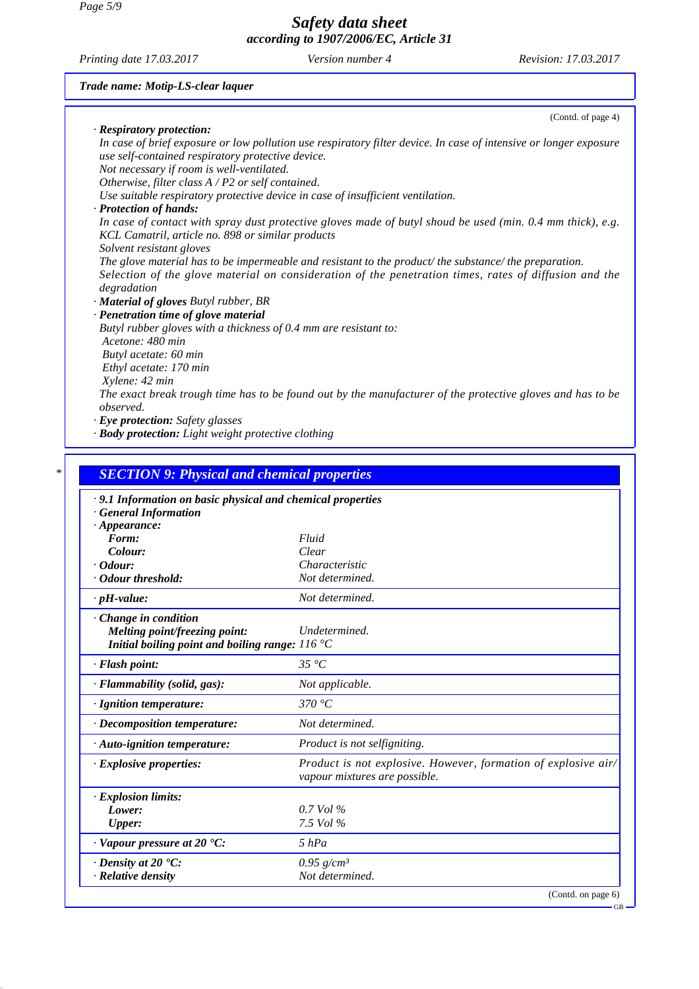*Page 5/9*

*Safety data sheet according to 1907/2006/EC, Article 31*

*Printing date 17.03.2017 Version number 4 Revision: 17.03.2017*

*Trade name: Motip-LS-clear laquer*

| (Contd. of page 4)                                                                                                                                                                                                           |  |
|------------------------------------------------------------------------------------------------------------------------------------------------------------------------------------------------------------------------------|--|
| · Respiratory protection:                                                                                                                                                                                                    |  |
| In case of brief exposure or low pollution use respiratory filter device. In case of intensive or longer exposure<br>use self-contained respiratory protective device.                                                       |  |
| Not necessary if room is well-ventilated.                                                                                                                                                                                    |  |
| Otherwise, filter class $A$ / P2 or self contained.                                                                                                                                                                          |  |
| Use suitable respiratory protective device in case of insufficient ventilation.                                                                                                                                              |  |
| · Protection of hands:                                                                                                                                                                                                       |  |
| In case of contact with spray dust protective gloves made of butyl shoud be used (min. $0.4$ mm thick), e.g.<br>KCL Camatril, article no. 898 or similar products                                                            |  |
| Solvent resistant gloves                                                                                                                                                                                                     |  |
| The glove material has to be impermeable and resistant to the product/the substance/the preparation.<br>Selection of the glove material on consideration of the penetration times, rates of diffusion and the<br>degradation |  |
| · Material of gloves Butyl rubber, BR                                                                                                                                                                                        |  |
| · Penetration time of glove material                                                                                                                                                                                         |  |
| Butyl rubber gloves with a thickness of 0.4 mm are resistant to:                                                                                                                                                             |  |
| Acetone: 480 min                                                                                                                                                                                                             |  |
| Butyl acetate: 60 min                                                                                                                                                                                                        |  |
| Ethyl acetate: 170 min                                                                                                                                                                                                       |  |
| Xylene: 42 min                                                                                                                                                                                                               |  |
| The exact break trough time has to be found out by the manufacturer of the protective gloves and has to be<br><i>observed.</i>                                                                                               |  |
| $\cdot$ Eye protection: Safety glasses                                                                                                                                                                                       |  |
| · Body protection: Light weight protective clothing                                                                                                                                                                          |  |
|                                                                                                                                                                                                                              |  |

| · 9.1 Information on basic physical and chemical properties |                                                                                                 |
|-------------------------------------------------------------|-------------------------------------------------------------------------------------------------|
| · General Information                                       |                                                                                                 |
| $\cdot$ Appearance:                                         |                                                                                                 |
| Form:                                                       | Fluid                                                                                           |
| Colour:                                                     | Clear                                                                                           |
| $\cdot$ Odour:                                              | Characteristic                                                                                  |
| · Odour threshold:                                          | Not determined.                                                                                 |
| $\cdot$ pH-value:                                           | Not determined.                                                                                 |
| $\cdot$ Change in condition                                 |                                                                                                 |
| Melting point/freezing point:                               | Undetermined.                                                                                   |
| Initial boiling point and boiling range: $116^{\circ}$ C    |                                                                                                 |
| · Flash point:                                              | $35\,{}^{\circ}C$                                                                               |
| · Flammability (solid, gas):                                | Not applicable.                                                                                 |
| · Ignition temperature:                                     | 370 $\degree$ C                                                                                 |
| · Decomposition temperature:                                | Not determined.                                                                                 |
| $\cdot$ Auto-ignition temperature:                          | Product is not selfigniting.                                                                    |
| · Explosive properties:                                     | Product is not explosive. However, formation of explosive air/<br>vapour mixtures are possible. |
| · Explosion limits:                                         |                                                                                                 |
| Lower:                                                      | $0.7$ Vol $\%$                                                                                  |
| <b>Upper:</b>                                               | 7.5 Vol %                                                                                       |
| $\cdot$ Vapour pressure at 20 $\cdot$ C:                    | $5$ $hPa$                                                                                       |
| $\cdot$ Density at 20 $\cdot$ C:                            | $0.95$ g/cm <sup>3</sup>                                                                        |
| $\cdot$ Relative density                                    | Not determined.                                                                                 |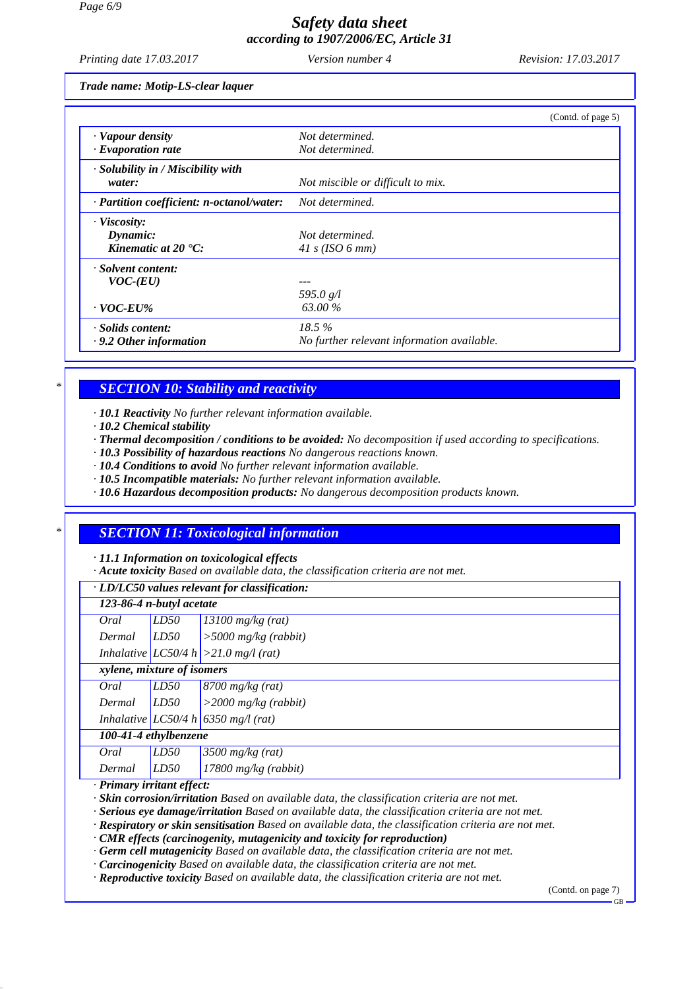# *Safety data sheet according to 1907/2006/EC, Article 31*

*Printing date 17.03.2017 Version number 4 Revision: 17.03.2017*

*Trade name: Motip-LS-clear laquer*

|                                           | (Contd. of page 5)                         |
|-------------------------------------------|--------------------------------------------|
| · Vapour density                          | Not determined.                            |
| $\cdot$ Evaporation rate                  | Not determined.                            |
| $\cdot$ Solubility in / Miscibility with  |                                            |
| water:                                    | Not miscible or difficult to mix.          |
| · Partition coefficient: n-octanol/water: | Not determined.                            |
| $\cdot$ Viscosity:                        |                                            |
| Dynamic:                                  | Not determined.                            |
| Kinematic at $20 \text{ }^{\circ}C$ :     | 41 s (ISO 6 mm)                            |
| · Solvent content:                        |                                            |
| $VOC$ - $(EU)$                            |                                            |
|                                           | 595.0 $g/l$                                |
| $\cdot$ VOC-EU%                           | 63.00 %                                    |
| · Solids content:                         | 18.5%                                      |
| $\cdot$ 9.2 Other information             | No further relevant information available. |

## *\* SECTION 10: Stability and reactivity*

*· 10.1 Reactivity No further relevant information available.*

- *· 10.2 Chemical stability*
- *· Thermal decomposition / conditions to be avoided: No decomposition if used according to specifications.*
- *· 10.3 Possibility of hazardous reactions No dangerous reactions known.*
- *· 10.4 Conditions to avoid No further relevant information available.*
- *· 10.5 Incompatible materials: No further relevant information available.*
- *· 10.6 Hazardous decomposition products: No dangerous decomposition products known.*

## *\* SECTION 11: Toxicological information*

*· 11.1 Information on toxicological effects*

*· Acute toxicity Based on available data, the classification criteria are not met.*

*· LD/LC50 values relevant for classification:*

|        | 123-86-4 n-butyl acetate   |                                           |  |
|--------|----------------------------|-------------------------------------------|--|
| Oral   | LD50                       | $13100$ mg/kg (rat)                       |  |
| Dermal | LD50                       | $>$ 5000 mg/kg (rabbit)                   |  |
|        |                            | Inhalative $ LCS0/4 h  > 21.0$ mg/l (rat) |  |
|        | xylene, mixture of isomers |                                           |  |
| Oral   | LD50                       | $8700$ mg/kg (rat)                        |  |
| Dermal | LD50                       | $>$ 2000 mg/kg (rabbit)                   |  |
|        |                            | Inhalative LC50/4 h 6350 mg/l (rat)       |  |
|        | 100-41-4 ethylbenzene      |                                           |  |
| Oral   | LD50                       | $3500$ mg/kg (rat)                        |  |
| Dermal | LD50                       | $17800$ mg/kg (rabbit)                    |  |
|        |                            |                                           |  |

*· Primary irritant effect:*

*· Skin corrosion/irritation Based on available data, the classification criteria are not met.*

*· Serious eye damage/irritation Based on available data, the classification criteria are not met.*

*· Respiratory or skin sensitisation Based on available data, the classification criteria are not met.*

*· CMR effects (carcinogenity, mutagenicity and toxicity for reproduction)*

*· Germ cell mutagenicity Based on available data, the classification criteria are not met.*

*· Carcinogenicity Based on available data, the classification criteria are not met.*

*· Reproductive toxicity Based on available data, the classification criteria are not met.*

(Contd. on page 7)

GB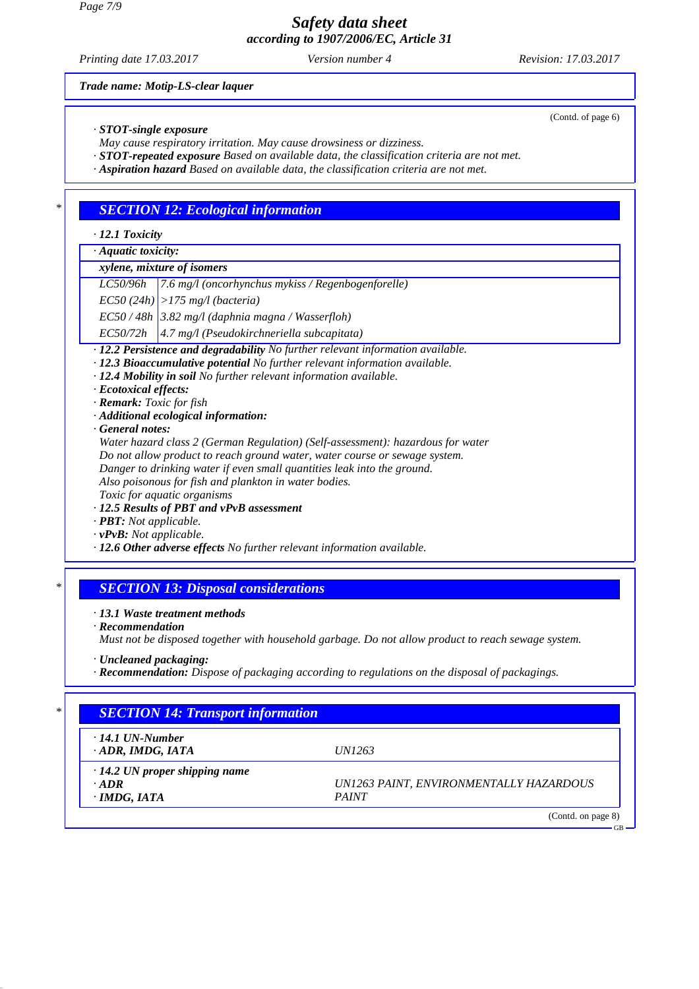*Safety data sheet according to 1907/2006/EC, Article 31*

*Printing date 17.03.2017 Version number 4 Revision: 17.03.2017*

*Trade name: Motip-LS-clear laquer*

*· STOT-single exposure*

*May cause respiratory irritation. May cause drowsiness or dizziness.*

*· STOT-repeated exposure Based on available data, the classification criteria are not met.*

*· Aspiration hazard Based on available data, the classification criteria are not met.*

#### *\* SECTION 12: Ecological information*

*· 12.1 Toxicity*

*· Aquatic toxicity:*

## *xylene, mixture of isomers*

*LC50/96h 7.6 mg/l (oncorhynchus mykiss / Regenbogenforelle)*

*EC50 (24h) >175 mg/l (bacteria)*

*EC50 / 48h 3.82 mg/l (daphnia magna / Wasserfloh)*

*EC50/72h 4.7 mg/l (Pseudokirchneriella subcapitata)*

*· 12.2 Persistence and degradability No further relevant information available.*

- *· 12.3 Bioaccumulative potential No further relevant information available.*
- *· 12.4 Mobility in soil No further relevant information available.*
- *· Ecotoxical effects:*
- *· Remark: Toxic for fish*
- *· Additional ecological information:*
- *· General notes:*

*Water hazard class 2 (German Regulation) (Self-assessment): hazardous for water Do not allow product to reach ground water, water course or sewage system. Danger to drinking water if even small quantities leak into the ground. Also poisonous for fish and plankton in water bodies. Toxic for aquatic organisms*

#### *· 12.5 Results of PBT and vPvB assessment*

- *· PBT: Not applicable.*
- *· vPvB: Not applicable.*
- *· 12.6 Other adverse effects No further relevant information available.*

#### *\* SECTION 13: Disposal considerations*

*· 13.1 Waste treatment methods*

*· Recommendation*

*Must not be disposed together with household garbage. Do not allow product to reach sewage system.*

- *· Uncleaned packaging:*
- *· Recommendation: Dispose of packaging according to regulations on the disposal of packagings.*

| <b>SECTION 14: Transport information</b> |                                         |
|------------------------------------------|-----------------------------------------|
| $\cdot$ 14.1 UN-Number                   |                                         |
| $\cdot$ ADR, IMDG, IATA                  | <i>UN1263</i>                           |
| $\cdot$ 14.2 UN proper shipping name     |                                         |
| $\cdot$ ADR                              | UN1263 PAINT, ENVIRONMENTALLY HAZARDOUS |
| $\cdot$ IMDG, IATA                       | <b>PAINT</b>                            |

(Contd. of page 6)

GB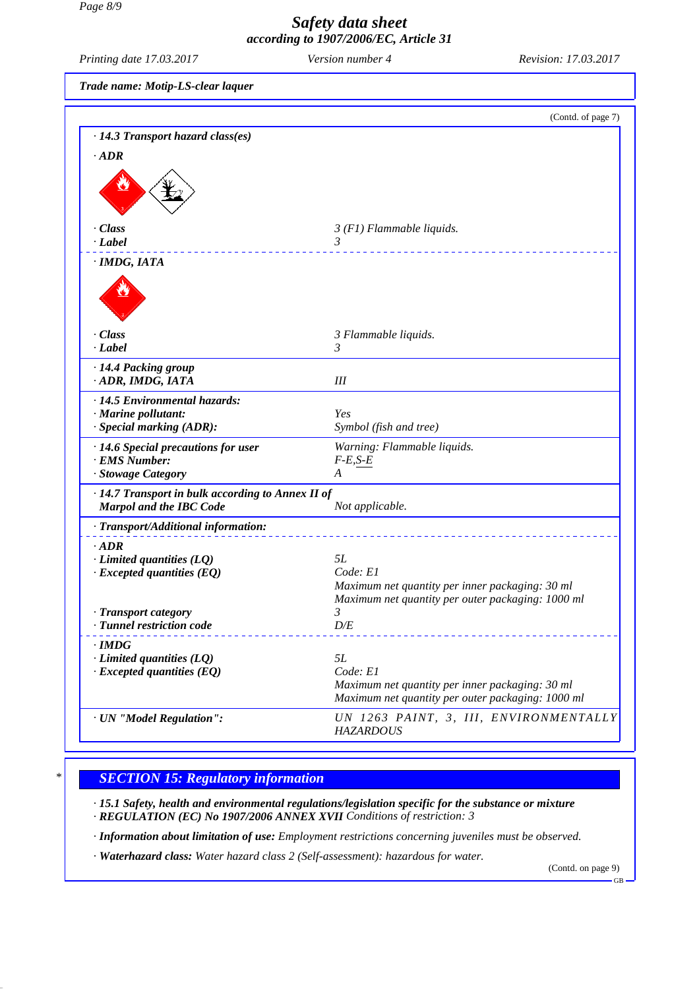#### *Page 8/9*

# *Safety data sheet according to 1907/2006/EC, Article 31*

*Printing date 17.03.2017 Version number 4 Revision: 17.03.2017*

| $1.100006$ and $17.0032017$                       | <u>UI JIUII IIMIIDUU</u>                                                                             |                    |
|---------------------------------------------------|------------------------------------------------------------------------------------------------------|--------------------|
| Trade name: Motip-LS-clear laquer                 |                                                                                                      |                    |
|                                                   |                                                                                                      | (Contd. of page 7) |
| $\cdot$ 14.3 Transport hazard class(es)           |                                                                                                      |                    |
| $\cdot$ ADR                                       |                                                                                                      |                    |
|                                                   |                                                                                                      |                    |
| · Class                                           | $3(F1)$ Flammable liquids.                                                                           |                    |
| $\cdot$ Label                                     | 3                                                                                                    | <u>.</u>           |
| · IMDG, IATA                                      |                                                                                                      |                    |
| · Class<br>· Label                                | 3 Flammable liquids.<br>3                                                                            |                    |
| · 14.4 Packing group<br>· ADR, IMDG, IATA         | Ш                                                                                                    |                    |
| · 14.5 Environmental hazards:                     |                                                                                                      |                    |
| · Marine pollutant:                               | Yes                                                                                                  |                    |
| · Special marking (ADR):                          | Symbol (fish and tree)                                                                               |                    |
| · 14.6 Special precautions for user               | Warning: Flammable liquids.                                                                          |                    |
| · EMS Number:                                     | $F-E, S-E$                                                                                           |                    |
| · Stowage Category                                | A                                                                                                    |                    |
| · 14.7 Transport in bulk according to Annex II of |                                                                                                      |                    |
| <b>Marpol and the IBC Code</b>                    | Not applicable.                                                                                      |                    |
| · Transport/Additional information:               |                                                                                                      |                    |
| $\cdot$ ADR                                       |                                                                                                      |                    |
| $\cdot$ Limited quantities (LQ)                   | 5L                                                                                                   |                    |
| $\cdot$ Excepted quantities (EQ)                  | Code: E1<br>Maximum net quantity per inner packaging: 30 ml                                          |                    |
|                                                   | Maximum net quantity per outer packaging: 1000 ml                                                    |                    |
| · Transport category                              | 3                                                                                                    |                    |
| · Tunnel restriction code                         | $D\!/\!E$                                                                                            |                    |
| $\cdot$ IMDG                                      |                                                                                                      |                    |
| $\cdot$ Limited quantities (LQ)                   | 5L                                                                                                   |                    |
| $\cdot$ Excepted quantities (EQ)                  | Code: E1                                                                                             |                    |
|                                                   | Maximum net quantity per inner packaging: 30 ml<br>Maximum net quantity per outer packaging: 1000 ml |                    |
| · UN "Model Regulation":                          | UN 1263 PAINT, 3, III, ENVIRONMENTALLY<br><b>HAZARDOUS</b>                                           |                    |

## *\* SECTION 15: Regulatory information*

*· 15.1 Safety, health and environmental regulations/legislation specific for the substance or mixture · REGULATION (EC) No 1907/2006 ANNEX XVII Conditions of restriction: 3*

*· Information about limitation of use: Employment restrictions concerning juveniles must be observed.*

*· Waterhazard class: Water hazard class 2 (Self-assessment): hazardous for water.*

(Contd. on page 9) GB